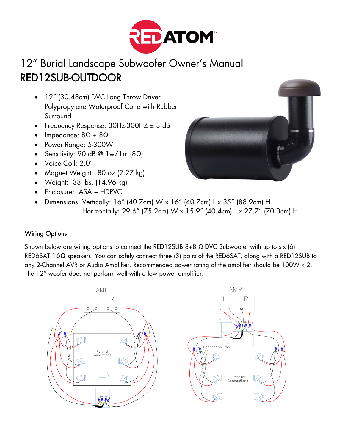

## 12" Burial Landscape Subwoofer Owner's Manual RED12SUB-OUTDOOR

- 12" (30.48cm) DVC Long Throw Driver Polypropylene Waterproof Cone with Rubber Surround
- Frequency Response:  $30Hz-300HZ \pm 3 dB$
- Impedance:  $8\Omega + 8\Omega$
- Power Range: 5-300W
- Sensitivity: 90 dB @ 1w/1m (8Ω)
- Voice Coil: 2.0"
- Magnet Weight: 80 oz.(2.27 kg)
- Weight: 33 lbs. (14.96 kg)
- Enclosure: ASA + HDPVC
- Dimensions: Vertically: 16" (40.7cm) W x 16" (40.7cm) L x 35" (88.9cm) H Horizontally: 29.6" (75.2cm) W x 15.9" (40.4cm) L x 27.7" (70.3cm) H

## Wiring Options:

Shown below are wiring options to connect the RED12SUB 8+8  $\Omega$  DVC Subwoofer with up to six (6) RED6SAT 16Ω speakers. You can safely connect three (3) pairs of the RED6SAT, along with a RED12SUB to any 2-Channel AVR or Audio Amplifier. Recommended power rating of the amplifier should be 100W x 2. The 12" woofer does not perform well with a low power amplifier.